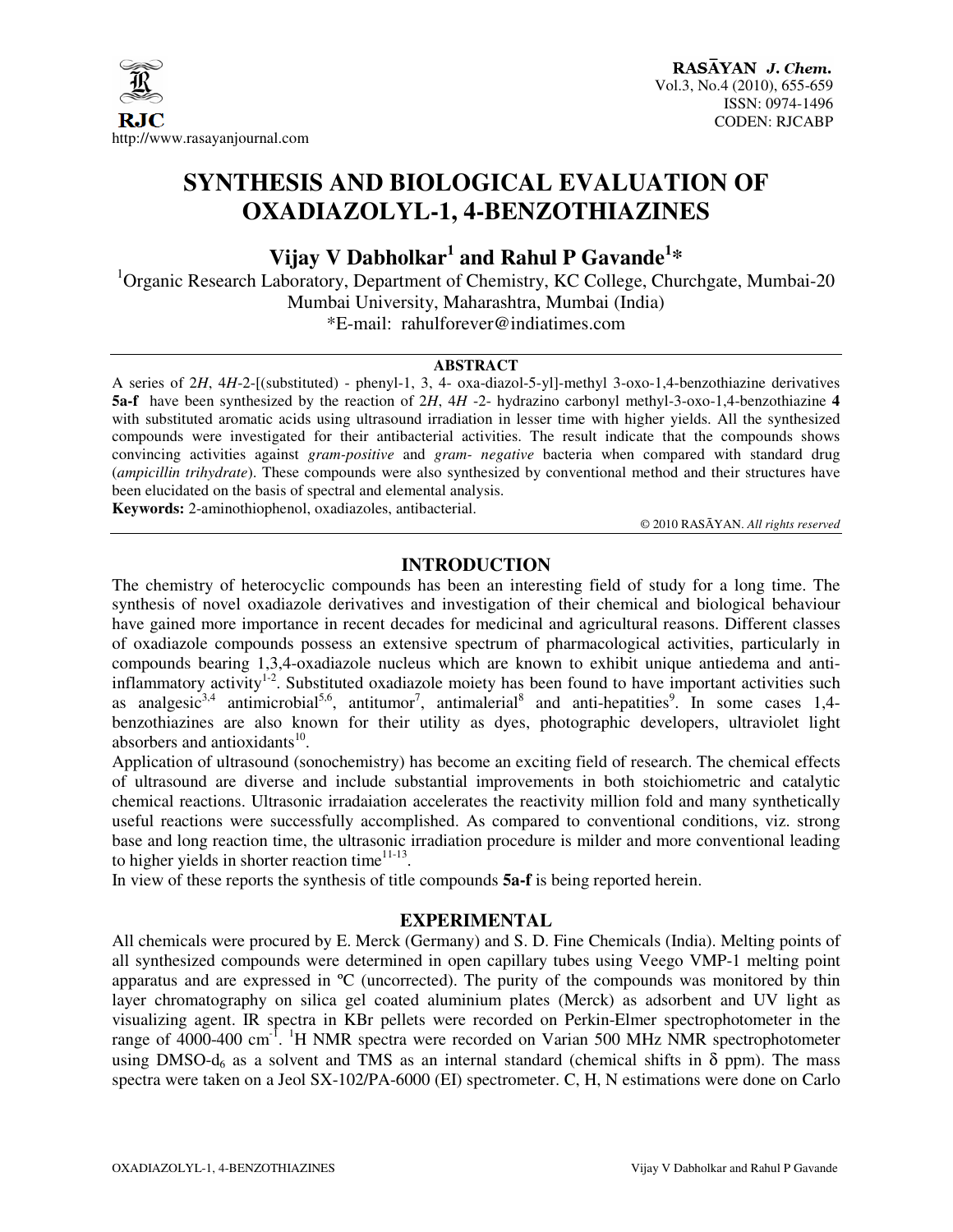

## **SYNTHESIS AND BIOLOGICAL EVALUATION OF OXADIAZOLYL-1, 4-BENZOTHIAZINES**

**Vijay V Dabholkar<sup>1</sup> and Rahul P Gavande<sup>1</sup> \*** 

 $1$ Organic Research Laboratory, Department of Chemistry, KC College, Churchgate, Mumbai-20 Mumbai University, Maharashtra, Mumbai (India) \*E-mail: rahulforever@indiatimes.com

#### **ABSTRACT**

A series of 2*H*, 4*H*-2-[(substituted) - phenyl-1, 3, 4- oxa-diazol-5-yl]-methyl 3-oxo-1,4-benzothiazine derivatives **5a-f** have been synthesized by the reaction of 2*H*, 4*H* -2- hydrazino carbonyl methyl-3-oxo-1,4-benzothiazine **4** with substituted aromatic acids using ultrasound irradiation in lesser time with higher yields. All the synthesized compounds were investigated for their antibacterial activities. The result indicate that the compounds shows convincing activities against *gram-positive* and *gram- negative* bacteria when compared with standard drug (*ampicillin trihydrate*). These compounds were also synthesized by conventional method and their structures have been elucidated on the basis of spectral and elemental analysis. **Keywords:** 2-aminothiophenol, oxadiazoles, antibacterial.

© 2010 RASĀYAN. *All rights reserved*

## **INTRODUCTION**

The chemistry of heterocyclic compounds has been an interesting field of study for a long time. The synthesis of novel oxadiazole derivatives and investigation of their chemical and biological behaviour have gained more importance in recent decades for medicinal and agricultural reasons. Different classes of oxadiazole compounds possess an extensive spectrum of pharmacological activities, particularly in compounds bearing 1,3,4-oxadiazole nucleus which are known to exhibit unique antiedema and antiinflammatory activity<sup>1-2</sup>. Substituted oxadiazole moiety has been found to have important activities such as analgesic<sup>3,4</sup> antimicrobial<sup>5,6</sup>, antitumor<sup>7</sup>, antimalerial<sup>8</sup> and anti-hepatities<sup>9</sup>. In some cases 1,4benzothiazines are also known for their utility as dyes, photographic developers, ultraviolet light absorbers and antioxidants $^{10}$ .

Application of ultrasound (sonochemistry) has become an exciting field of research. The chemical effects of ultrasound are diverse and include substantial improvements in both stoichiometric and catalytic chemical reactions. Ultrasonic irradaiation accelerates the reactivity million fold and many synthetically useful reactions were successfully accomplished. As compared to conventional conditions, viz. strong base and long reaction time, the ultrasonic irradiation procedure is milder and more conventional leading to higher yields in shorter reaction time $11-13$ .

In view of these reports the synthesis of title compounds **5a-f** is being reported herein.

#### **EXPERIMENTAL**

All chemicals were procured by E. Merck (Germany) and S. D. Fine Chemicals (India). Melting points of all synthesized compounds were determined in open capillary tubes using Veego VMP-1 melting point apparatus and are expressed in ºC (uncorrected). The purity of the compounds was monitored by thin layer chromatography on silica gel coated aluminium plates (Merck) as adsorbent and UV light as visualizing agent. IR spectra in KBr pellets were recorded on Perkin-Elmer spectrophotometer in the range of 4000-400 cm<sup>-1</sup>. <sup>1</sup>H NMR spectra were recorded on Varian 500 MHz NMR spectrophotometer using DMSO- $d_6$  as a solvent and TMS as an internal standard (chemical shifts in  $\delta$  ppm). The mass spectra were taken on a Jeol SX-102/PA-6000 (EI) spectrometer. C, H, N estimations were done on Carlo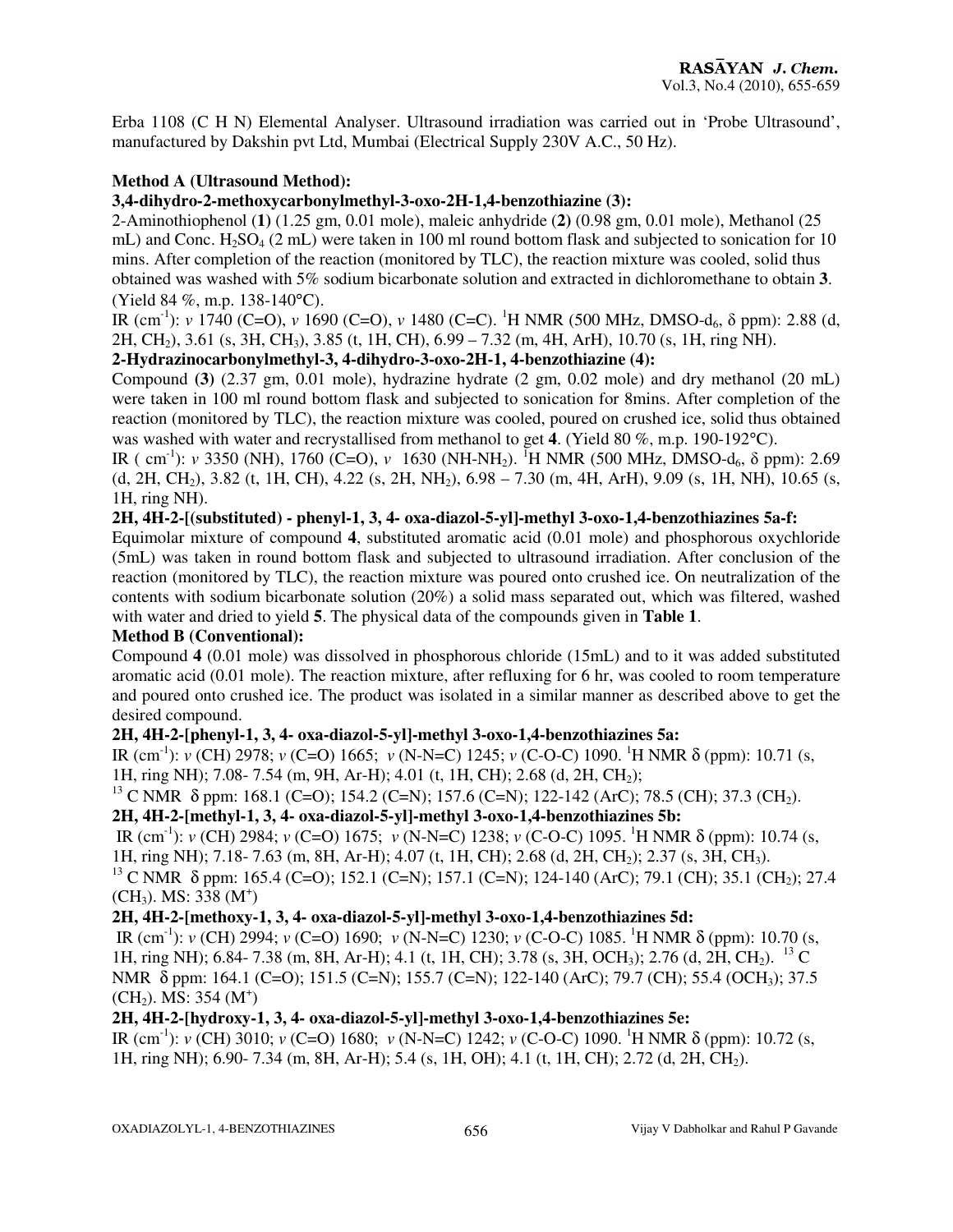Erba 1108 (C H N) Elemental Analyser. Ultrasound irradiation was carried out in 'Probe Ultrasound', manufactured by Dakshin pvt Ltd, Mumbai (Electrical Supply 230V A.C., 50 Hz).

### **Method A (Ultrasound Method):**

#### **3,4-dihydro-2-methoxycarbonylmethyl-3-oxo-2H-1,4-benzothiazine (3):**

2-Aminothiophenol (**1)** (1.25 gm, 0.01 mole), maleic anhydride (**2)** (0.98 gm, 0.01 mole), Methanol (25 mL) and Conc.  $H_2SO_4$  (2 mL) were taken in 100 ml round bottom flask and subjected to sonication for 10 mins. After completion of the reaction (monitored by TLC), the reaction mixture was cooled, solid thus obtained was washed with 5% sodium bicarbonate solution and extracted in dichloromethane to obtain **3**. (Yield 84 %, m.p. 138-140°C).

IR (cm<sup>-1</sup>): *v* 1740 (C=O), *v* 1690 (C=O), *v* 1480 (C=C). <sup>1</sup>H NMR (500 MHz, DMSO-d<sub>6</sub>, δ ppm): 2.88 (d, 2H, CH2), 3.61 (s, 3H, CH3), 3.85 (t, 1H, CH), 6.99 – 7.32 (m, 4H, ArH), 10.70 (s, 1H, ring NH).

## **2-Hydrazinocarbonylmethyl-3, 4-dihydro-3-oxo-2H-1, 4-benzothiazine (4):**

Compound **(3)** (2.37 gm, 0.01 mole), hydrazine hydrate (2 gm, 0.02 mole) and dry methanol (20 mL) were taken in 100 ml round bottom flask and subjected to sonication for 8mins. After completion of the reaction (monitored by TLC), the reaction mixture was cooled, poured on crushed ice, solid thus obtained was washed with water and recrystallised from methanol to get **4**. (Yield 80 %, m.p. 190-192°C).

IR ( cm<sup>-1</sup>): *v* 3350 (NH), 1760 (C=O), *v* 1630 (NH-NH<sub>2</sub>). <sup>I</sup>H NMR (500 MHz, DMSO-d<sub>6</sub>,  $\delta$  ppm): 2.69  $(d, 2H, CH_2)$ , 3.82 (t, 1H, CH), 4.22 (s, 2H, NH<sub>2</sub>), 6.98 – 7.30 (m, 4H, ArH), 9.09 (s, 1H, NH), 10.65 (s, 1H, ring NH).

#### **2H, 4H-2-[(substituted) - phenyl-1, 3, 4- oxa-diazol-5-yl]-methyl 3-oxo-1,4-benzothiazines 5a-f:**

Equimolar mixture of compound **4**, substituted aromatic acid (0.01 mole) and phosphorous oxychloride (5mL) was taken in round bottom flask and subjected to ultrasound irradiation. After conclusion of the reaction (monitored by TLC), the reaction mixture was poured onto crushed ice. On neutralization of the contents with sodium bicarbonate solution (20%) a solid mass separated out, which was filtered, washed with water and dried to yield **5**. The physical data of the compounds given in **Table 1**.

#### **Method B (Conventional):**

Compound **4** (0.01 mole) was dissolved in phosphorous chloride (15mL) and to it was added substituted aromatic acid (0.01 mole). The reaction mixture, after refluxing for 6 hr, was cooled to room temperature and poured onto crushed ice. The product was isolated in a similar manner as described above to get the desired compound.

### **2H, 4H-2-[phenyl-1, 3, 4- oxa-diazol-5-yl]-methyl 3-oxo-1,4-benzothiazines 5a:**

IR (cm-1): *v* (CH) 2978; *v* (C=O) 1665; *v* (N-N=C) 1245; *v* (C-O-C) 1090. <sup>1</sup>H NMR δ (ppm): 10.71 (s, 1H, ring NH); 7.08- 7.54 (m, 9H, Ar-H); 4.01 (t, 1H, CH); 2.68 (d, 2H, CH2);

## <sup>13</sup> C NMR δ ppm: 168.1 (C=O); 154.2 (C=N); 157.6 (C=N); 122-142 (ArC); 78.5 (CH); 37.3 (CH<sub>2</sub>).

## **2H, 4H-2-[methyl-1, 3, 4- oxa-diazol-5-yl]-methyl 3-oxo-1,4-benzothiazines 5b:**

IR (cm-1): *v* (CH) 2984; *v* (C=O) 1675; *v* (N-N=C) 1238; *v* (C-O-C) 1095. <sup>1</sup>H NMR δ (ppm): 10.74 (s, 1H, ring NH); 7.18- 7.63 (m, 8H, Ar-H); 4.07 (t, 1H, CH); 2.68 (d, 2H, CH2); 2.37 (s, 3H, CH3).

<sup>13</sup> C NMR δ ppm: 165.4 (C=O); 152.1 (C=N); 157.1 (C=N); 124-140 (ArC); 79.1 (CH); 35.1 (CH<sub>2</sub>); 27.4  $(CH_3)$ . MS:  $338$  (M<sup>+</sup>)

## **2H, 4H-2-[methoxy-1, 3, 4- oxa-diazol-5-yl]-methyl 3-oxo-1,4-benzothiazines 5d:**

IR (cm-1): *v* (CH) 2994; *v* (C=O) 1690; *v* (N-N=C) 1230; *v* (C-O-C) 1085. <sup>1</sup>H NMR δ (ppm): 10.70 (s, 1H, ring NH); 6.84- 7.38 (m, 8H, Ar-H); 4.1 (t, 1H, CH); 3.78 (s, 3H, OCH3); 2.76 (d, 2H, CH2). <sup>13</sup> C NMR δ ppm: 164.1 (C=O); 151.5 (C=N); 155.7 (C=N); 122-140 (ArC); 79.7 (CH); 55.4 (OCH<sub>3</sub>); 37.5  $(CH<sub>2</sub>)$ . MS: 354 (M<sup>+</sup>)

## **2H, 4H-2-[hydroxy-1, 3, 4- oxa-diazol-5-yl]-methyl 3-oxo-1,4-benzothiazines 5e:**

IR (cm-1): *v* (CH) 3010; *v* (C=O) 1680; *v* (N-N=C) 1242; *v* (C-O-C) 1090. <sup>1</sup>H NMR δ (ppm): 10.72 (s, 1H, ring NH); 6.90- 7.34 (m, 8H, Ar-H); 5.4 (s, 1H, OH); 4.1 (t, 1H, CH); 2.72 (d, 2H, CH2).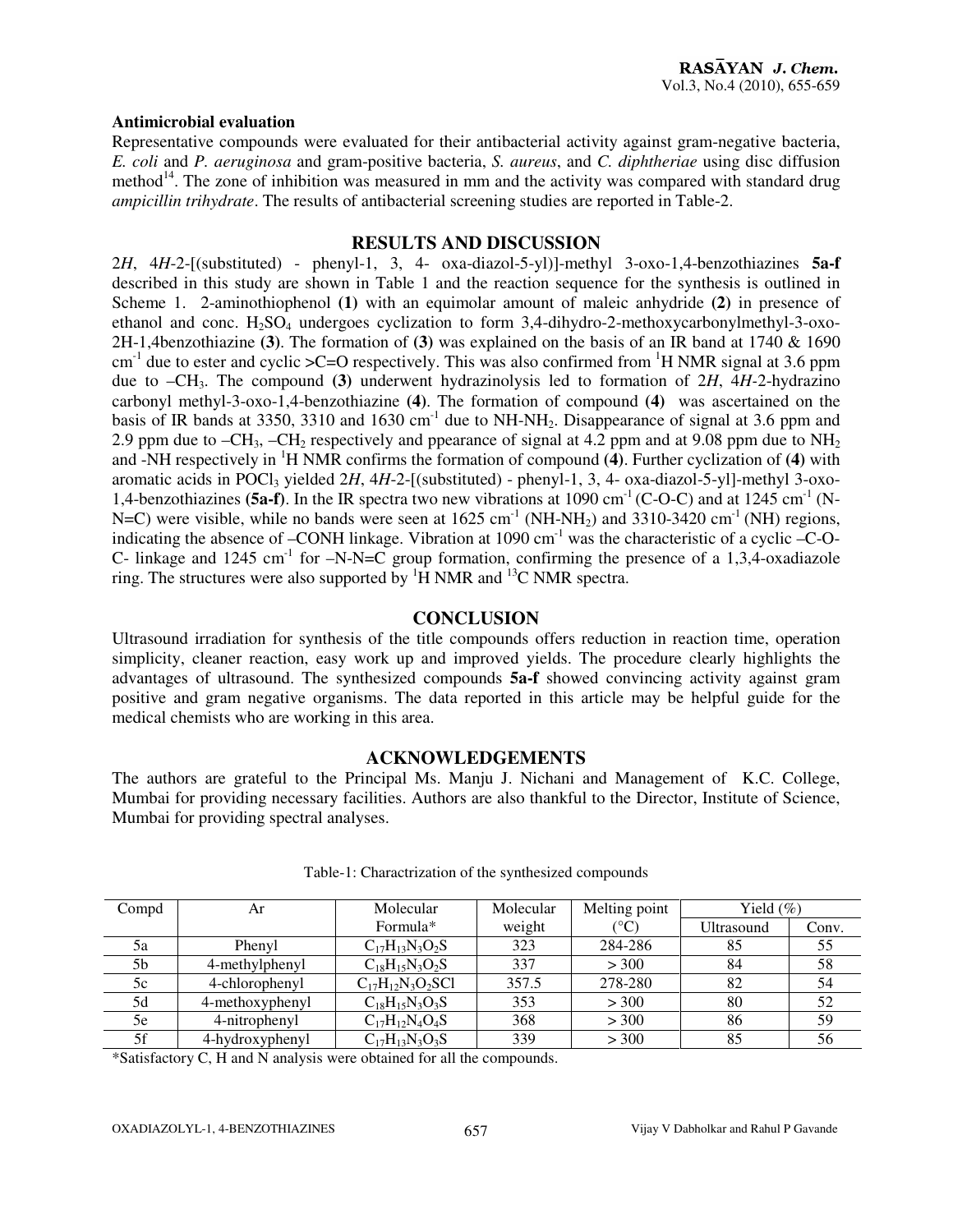#### **Antimicrobial evaluation**

Representative compounds were evaluated for their antibacterial activity against gram-negative bacteria, *E. coli* and *P. aeruginosa* and gram-positive bacteria, *S. aureus*, and *C. diphtheriae* using disc diffusion method<sup>14</sup>. The zone of inhibition was measured in mm and the activity was compared with standard drug *ampicillin trihydrate*. The results of antibacterial screening studies are reported in Table-2.

#### **RESULTS AND DISCUSSION**

2*H*, 4*H*-2-[(substituted) - phenyl-1, 3, 4- oxa-diazol-5-yl)]-methyl 3-oxo-1,4-benzothiazines **5a-f** described in this study are shown in Table 1 and the reaction sequence for the synthesis is outlined in Scheme 1. 2-aminothiophenol **(1)** with an equimolar amount of maleic anhydride **(2)** in presence of ethanol and conc.  $H_2SO_4$  undergoes cyclization to form 3,4-dihydro-2-methoxycarbonylmethyl-3-oxo-2H-1,4benzothiazine **(3)**. The formation of **(3)** was explained on the basis of an IR band at 1740 & 1690  $cm<sup>-1</sup>$  due to ester and cyclic  $\geq$ C=O respectively. This was also confirmed from <sup>1</sup>H NMR signal at 3.6 ppm due to –CH3. The compound **(3)** underwent hydrazinolysis led to formation of 2*H*, 4*H-*2-hydrazino carbonyl methyl-3-oxo-1,4-benzothiazine **(4)**. The formation of compound **(4)** was ascertained on the basis of IR bands at 3350, 3310 and 1630 cm<sup>-1</sup> due to NH-NH<sub>2</sub>. Disappearance of signal at 3.6 ppm and 2.9 ppm due to  $-CH_3$ ,  $-CH_2$  respectively and ppearance of signal at 4.2 ppm and at 9.08 ppm due to NH<sub>2</sub> and -NH respectively in <sup>1</sup>H NMR confirms the formation of compound **(4)**. Further cyclization of **(4)** with aromatic acids in POCl<sub>3</sub> yielded 2H, 4H-2-[(substituted) - phenyl-1, 3, 4- oxa-diazol-5-yl]-methyl 3-oxo-1,4-benzothiazines **(5a-f)**. In the IR spectra two new vibrations at 1090 cm<sup>-1</sup> (C-O-C) and at 1245 cm<sup>-1</sup> (N-N=C) were visible, while no bands were seen at  $1625 \text{ cm}^{-1}$  (NH-NH<sub>2</sub>) and  $3310\text{-}3420 \text{ cm}^{-1}$  (NH) regions, indicating the absence of –CONH linkage. Vibration at  $1090 \text{ cm}^{-1}$  was the characteristic of a cyclic –C-O-C- linkage and 1245 cm<sup>-1</sup> for  $-N-N=C$  group formation, confirming the presence of a 1,3,4-oxadiazole ring. The structures were also supported by  ${}^{1}H$  NMR and  ${}^{13}C$  NMR spectra.

#### **CONCLUSION**

Ultrasound irradiation for synthesis of the title compounds offers reduction in reaction time, operation simplicity, cleaner reaction, easy work up and improved yields. The procedure clearly highlights the advantages of ultrasound. The synthesized compounds **5a-f** showed convincing activity against gram positive and gram negative organisms. The data reported in this article may be helpful guide for the medical chemists who are working in this area.

#### **ACKNOWLEDGEMENTS**

The authors are grateful to the Principal Ms. Manju J. Nichani and Management of K.C. College, Mumbai for providing necessary facilities. Authors are also thankful to the Director, Institute of Science, Mumbai for providing spectral analyses.

| Compd | Ar              | Molecular               | Molecular | Melting point   | Yield $(\% )$ |       |
|-------|-----------------|-------------------------|-----------|-----------------|---------------|-------|
|       |                 | Formula*                | weight    | $\rm ^{\circ}C$ | Ultrasound    | Conv. |
| 5a    | Phenyl          | $C_{17}H_{13}N_3O_2S$   | 323       | 284-286         | 85            | 55    |
| 5b    | 4-methylphenyl  | $C_{18}H_{15}N_3O_2S$   | 337       | > 300           | 84            | 58    |
| 5c    | 4-chlorophenyl  | $C_{17}H_{12}N_3O_2SC1$ | 357.5     | 278-280         | 82            | 54    |
| 5d    | 4-methoxyphenyl | $C_{18}H_{15}N_3O_3S$   | 353       | > 300           | 80            | 52    |
| 5e    | 4-nitrophenyl   | $C_{17}H_{12}N_4O_4S$   | 368       | > 300           | 86            | 59    |
| 5f    | 4-hydroxyphenyl | $C_{17}H_{13}N_3O_3S$   | 339       | > 300           | 85            | 56    |

#### Table-1: Charactrization of the synthesized compounds

\*Satisfactory C, H and N analysis were obtained for all the compounds.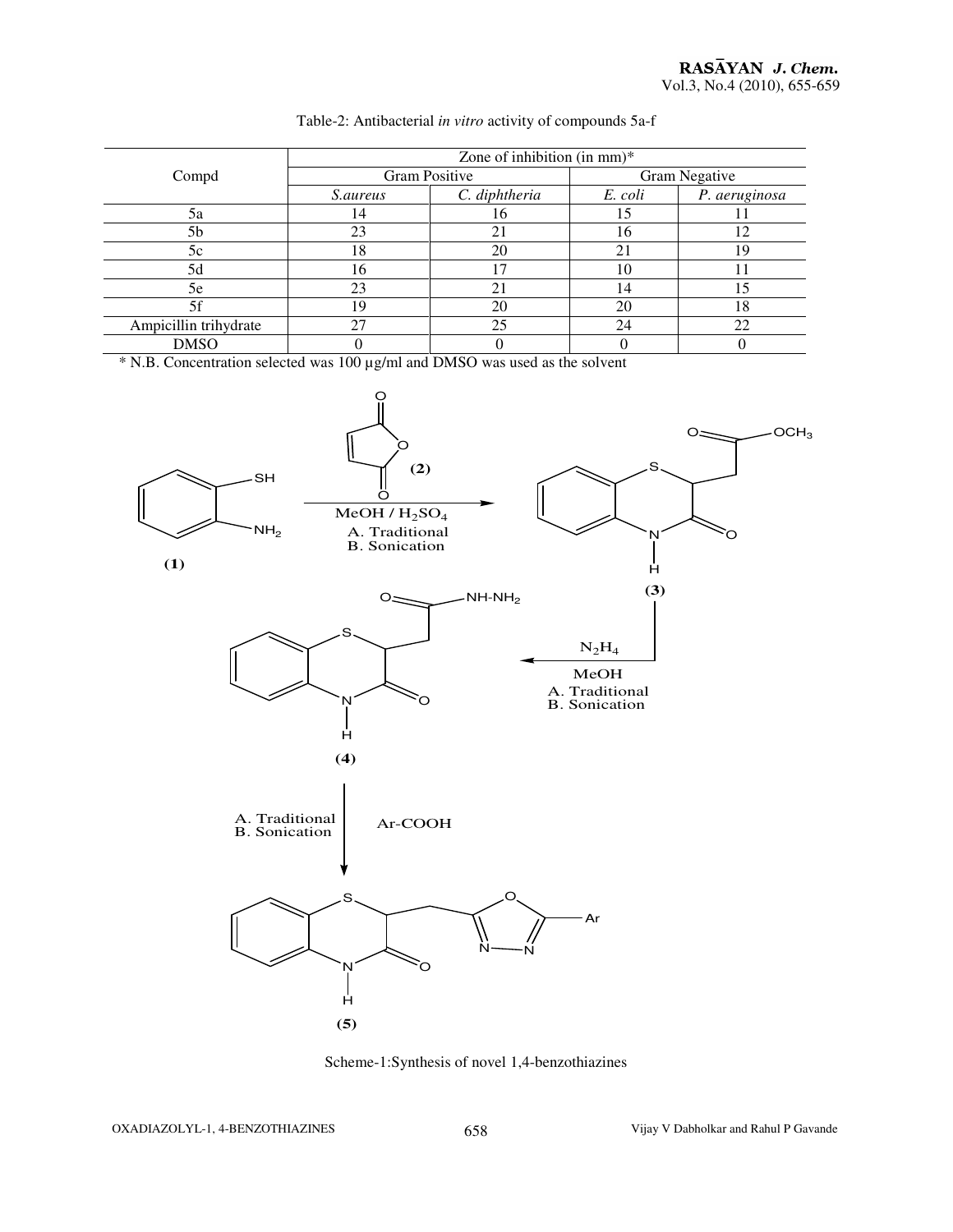|                       | Zone of inhibition (in mm) $*$ |               |                      |               |  |  |
|-----------------------|--------------------------------|---------------|----------------------|---------------|--|--|
| Compd                 | Gram Positive                  |               | <b>Gram Negative</b> |               |  |  |
|                       | <i>S.aureus</i>                | C. diphtheria | E. coli              | P. aeruginosa |  |  |
| 5a                    | ۱4                             | 10            |                      |               |  |  |
| 5b                    | 23                             | 21            | 16                   | 12            |  |  |
| 5c                    | 18                             | 20            |                      | 19            |  |  |
| 5d                    | 16                             |               | 10                   |               |  |  |
| 5e                    | 23                             | 21            | 14                   | 15            |  |  |
| 5f                    | 19                             | 20            | 20                   | 18            |  |  |
| Ampicillin trihydrate | 27                             | 25            | 24                   | 22            |  |  |
| DMSO                  |                                |               |                      |               |  |  |

#### Table-2: Antibacterial *in vitro* activity of compounds 5a-f

\* N.B. Concentration selected was 100 µg/ml and DMSO was used as the solvent